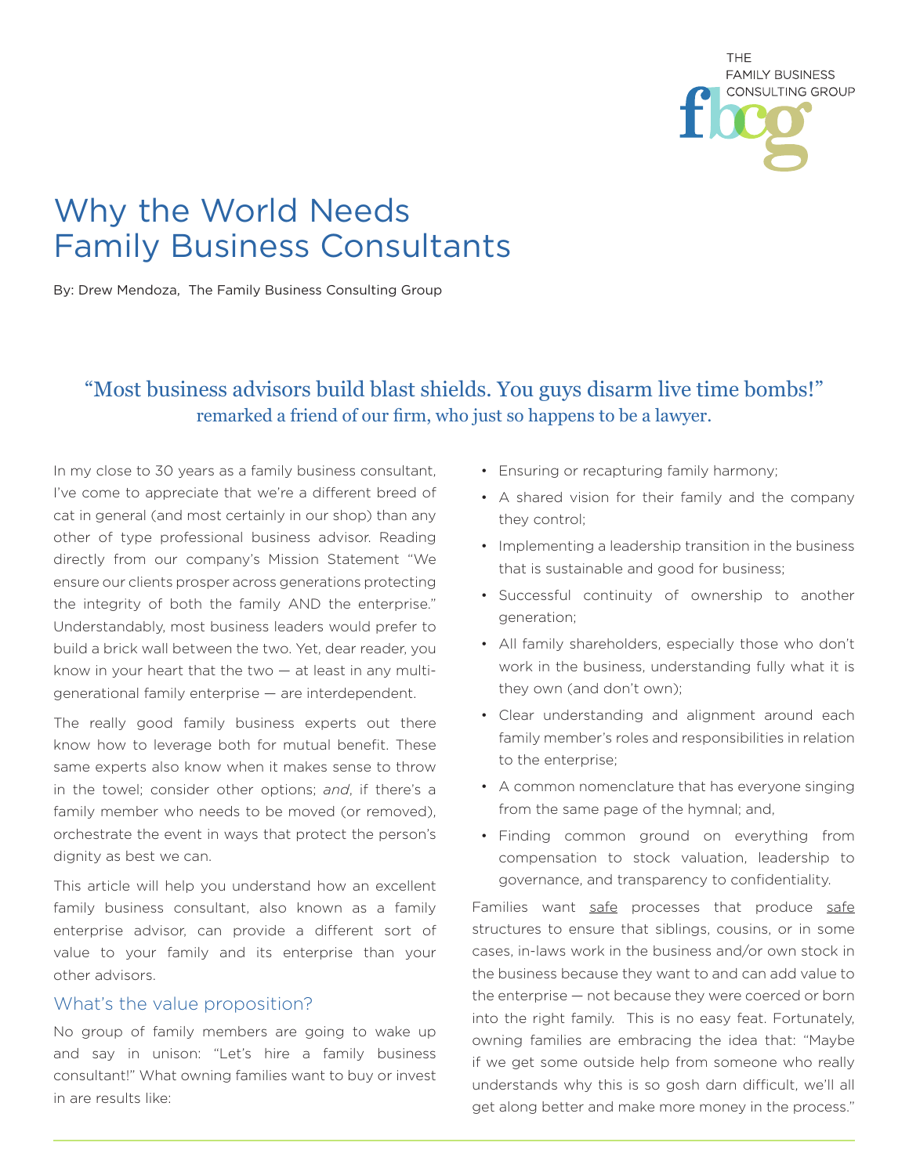

# Why the World Needs Family Business Consultants

By: Drew Mendoza, The Family Business Consulting Group

# "Most business advisors build blast shields. You guys disarm live time bombs!" remarked a friend of our firm, who just so happens to be a lawyer.

In my close to 30 years as a family business consultant, I've come to appreciate that we're a different breed of cat in general (and most certainly in our shop) than any other of type professional business advisor. Reading directly from our company's Mission Statement "We ensure our clients prosper across generations protecting the integrity of both the family AND the enterprise." Understandably, most business leaders would prefer to build a brick wall between the two. Yet, dear reader, you know in your heart that the two  $-$  at least in any multigenerational family enterprise — are interdependent.

The really good family business experts out there know how to leverage both for mutual benefit. These same experts also know when it makes sense to throw in the towel; consider other options; *and*, if there's a family member who needs to be moved (or removed), orchestrate the event in ways that protect the person's dignity as best we can.

This article will help you understand how an excellent family business consultant, also known as a family enterprise advisor, can provide a different sort of value to your family and its enterprise than your other advisors.

#### What's the value proposition?

No group of family members are going to wake up and say in unison: "Let's hire a family business consultant!" What owning families want to buy or invest in are results like:

- Ensuring or recapturing family harmony;
- A shared vision for their family and the company they control;
- Implementing a leadership transition in the business that is sustainable and good for business;
- Successful continuity of ownership to another generation;
- All family shareholders, especially those who don't work in the business, understanding fully what it is they own (and don't own);
- Clear understanding and alignment around each family member's roles and responsibilities in relation to the enterprise;
- A common nomenclature that has everyone singing from the same page of the hymnal; and,
- Finding common ground on everything from compensation to stock valuation, leadership to governance, and transparency to confidentiality.

Families want safe processes that produce safe structures to ensure that siblings, cousins, or in some cases, in-laws work in the business and/or own stock in the business because they want to and can add value to the enterprise — not because they were coerced or born into the right family. This is no easy feat. Fortunately, owning families are embracing the idea that: "Maybe if we get some outside help from someone who really understands why this is so gosh darn difficult, we'll all get along better and make more money in the process."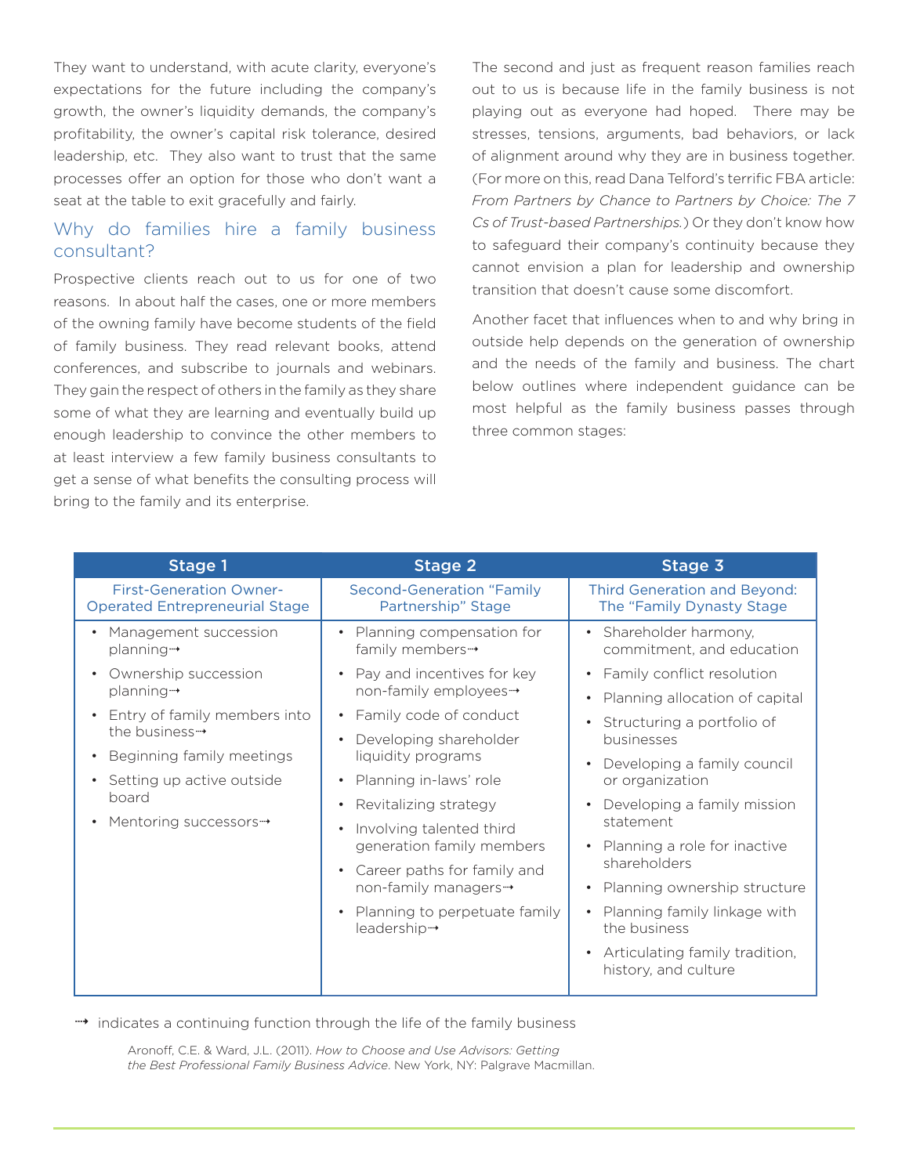They want to understand, with acute clarity, everyone's expectations for the future including the company's growth, the owner's liquidity demands, the company's profitability, the owner's capital risk tolerance, desired leadership, etc. They also want to trust that the same processes offer an option for those who don't want a seat at the table to exit gracefully and fairly.

### Why do families hire a family business consultant?

Prospective clients reach out to us for one of two reasons. In about half the cases, one or more members of the owning family have become students of the field of family business. They read relevant books, attend conferences, and subscribe to journals and webinars. They gain the respect of others in the family as they share some of what they are learning and eventually build up enough leadership to convince the other members to at least interview a few family business consultants to get a sense of what benefits the consulting process will bring to the family and its enterprise.

The second and just as frequent reason families reach out to us is because life in the family business is not playing out as everyone had hoped. There may be stresses, tensions, arguments, bad behaviors, or lack of alignment around why they are in business together. (For more on this, read Dana Telford's terrific FBA article: *From Partners by Chance to Partners by Choice: The 7 Cs of Trust-based Partnerships.*) Or they don't know how to safeguard their company's continuity because they cannot envision a plan for leadership and ownership transition that doesn't cause some discomfort.

Another facet that influences when to and why bring in outside help depends on the generation of ownership and the needs of the family and business. The chart below outlines where independent guidance can be most helpful as the family business passes through three common stages:

| Stage 1                                                                 | <b>Stage 2</b>                                                                                                                                                         | Stage 3                                                                                    |
|-------------------------------------------------------------------------|------------------------------------------------------------------------------------------------------------------------------------------------------------------------|--------------------------------------------------------------------------------------------|
| <b>First-Generation Owner-</b><br><b>Operated Entrepreneurial Stage</b> | <b>Second-Generation "Family</b><br>Partnership" Stage                                                                                                                 | Third Generation and Beyond:<br>The "Family Dynasty Stage                                  |
| Management succession<br>planning-                                      | Planning compensation for<br>family members-                                                                                                                           | Shareholder harmony,<br>commitment, and education                                          |
| Ownership succession<br>planning-                                       | Pay and incentives for key<br>non-family employees-<br>• Family code of conduct<br>Developing shareholder<br>liquidity programs<br>Planning in-laws' role<br>$\bullet$ | Family conflict resolution<br>$\bullet$                                                    |
|                                                                         |                                                                                                                                                                        | Planning allocation of capital<br>$\bullet$                                                |
| Entry of family members into<br>the business $\rightarrow$              |                                                                                                                                                                        | Structuring a portfolio of<br>businesses<br>Developing a family council<br>or organization |
| Beginning family meetings                                               |                                                                                                                                                                        |                                                                                            |
| Setting up active outside                                               |                                                                                                                                                                        |                                                                                            |
| board                                                                   | Revitalizing strategy<br>$\bullet$                                                                                                                                     | Developing a family mission<br>$\bullet$<br>statement                                      |
| Mentoring successors→                                                   | Involving talented third<br>$\bullet$<br>generation family members                                                                                                     |                                                                                            |
|                                                                         |                                                                                                                                                                        | Planning a role for inactive<br>$\bullet$<br>shareholders                                  |
|                                                                         | Career paths for family and<br>non-family managers-                                                                                                                    |                                                                                            |
|                                                                         |                                                                                                                                                                        | Planning ownership structure<br>$\bullet$                                                  |
|                                                                         | Planning to perpetuate family<br>$\bullet$<br>leadership-                                                                                                              | Planning family linkage with<br>the business                                               |
|                                                                         |                                                                                                                                                                        | Articulating family tradition,<br>$\bullet$<br>history, and culture                        |
|                                                                         |                                                                                                                                                                        |                                                                                            |

 $\rightarrow$  indicates a continuing function through the life of the family business

Aronoff, C.E. & Ward, J.L. (2011). *How to Choose and Use Advisors: Getting the Best Professional Family Business Advice*. New York, NY: Palgrave Macmillan.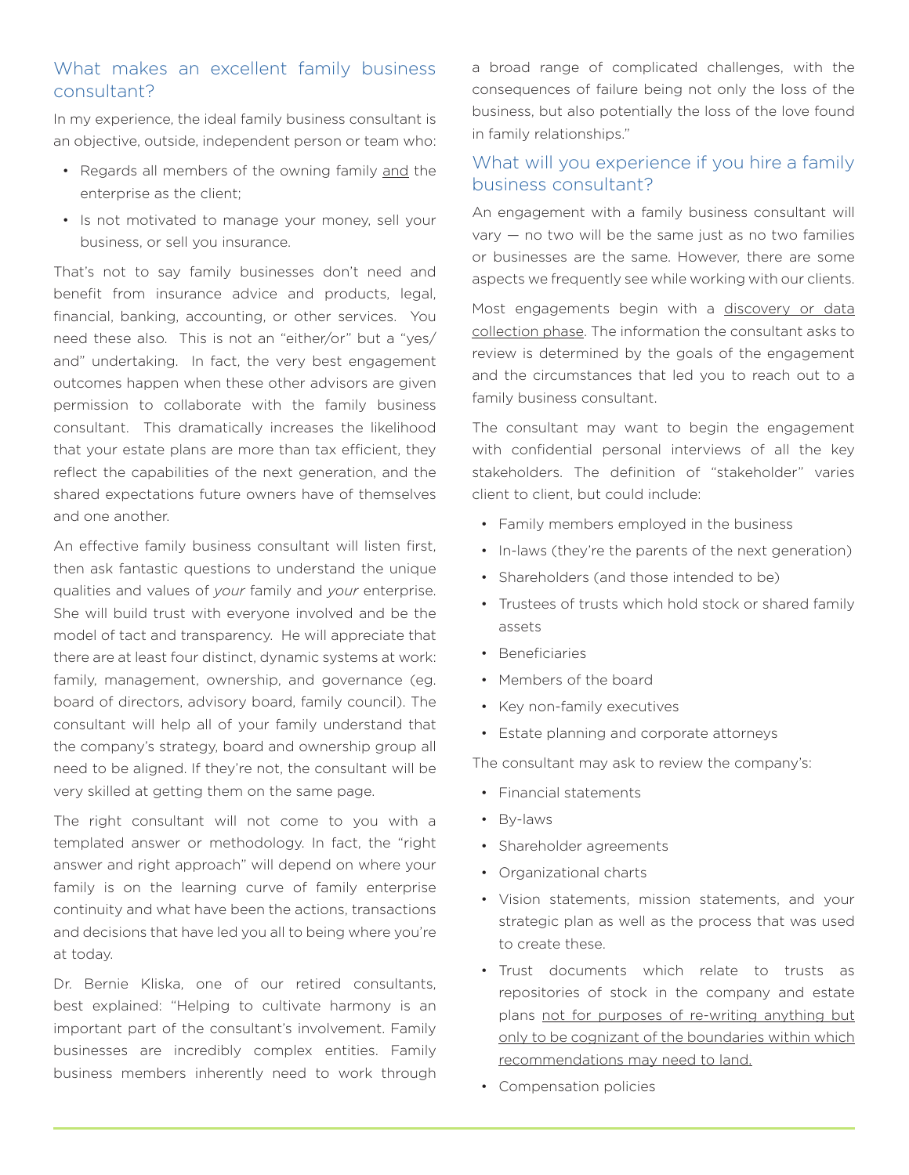## What makes an excellent family business consultant?

In my experience, the ideal family business consultant is an objective, outside, independent person or team who:

- Regards all members of the owning family and the enterprise as the client;
- Is not motivated to manage your money, sell your business, or sell you insurance.

That's not to say family businesses don't need and benefit from insurance advice and products, legal, financial, banking, accounting, or other services. You need these also. This is not an "either/or" but a "yes/ and" undertaking. In fact, the very best engagement outcomes happen when these other advisors are given permission to collaborate with the family business consultant. This dramatically increases the likelihood that your estate plans are more than tax efficient, they reflect the capabilities of the next generation, and the shared expectations future owners have of themselves and one another.

An effective family business consultant will listen first, then ask fantastic questions to understand the unique qualities and values of *your* family and *your* enterprise. She will build trust with everyone involved and be the model of tact and transparency. He will appreciate that there are at least four distinct, dynamic systems at work: family, management, ownership, and governance (eg. board of directors, advisory board, family council). The consultant will help all of your family understand that the company's strategy, board and ownership group all need to be aligned. If they're not, the consultant will be very skilled at getting them on the same page.

The right consultant will not come to you with a templated answer or methodology. In fact, the "right answer and right approach" will depend on where your family is on the learning curve of family enterprise continuity and what have been the actions, transactions and decisions that have led you all to being where you're at today.

Dr. Bernie Kliska, one of our retired consultants, best explained: "Helping to cultivate harmony is an important part of the consultant's involvement. Family businesses are incredibly complex entities. Family business members inherently need to work through

a broad range of complicated challenges, with the consequences of failure being not only the loss of the business, but also potentially the loss of the love found in family relationships."

### What will you experience if you hire a family business consultant?

An engagement with a family business consultant will  $vary - no$  two will be the same just as no two families or businesses are the same. However, there are some aspects we frequently see while working with our clients.

Most engagements begin with a discovery or data collection phase. The information the consultant asks to review is determined by the goals of the engagement and the circumstances that led you to reach out to a family business consultant.

The consultant may want to begin the engagement with confidential personal interviews of all the key stakeholders. The definition of "stakeholder" varies client to client, but could include:

- Family members employed in the business
- In-laws (they're the parents of the next generation)
- Shareholders (and those intended to be)
- Trustees of trusts which hold stock or shared family assets
- Beneficiaries
- Members of the board
- Key non-family executives
- Estate planning and corporate attorneys

The consultant may ask to review the company's:

- Financial statements
- By-laws
- Shareholder agreements
- Organizational charts
- Vision statements, mission statements, and your strategic plan as well as the process that was used to create these.
- Trust documents which relate to trusts as repositories of stock in the company and estate plans not for purposes of re-writing anything but only to be cognizant of the boundaries within which recommendations may need to land.
- Compensation policies